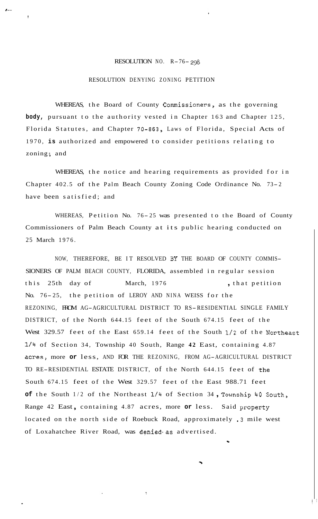## RESOLUTION NO. R-76- *<sup>298</sup>*

## RESOLUTION DENYING ZONING PETITION

*I--* 

!

WHEREAS, the Board of County Commissioners, as the governing **body,** pursuant to the authority vested in Chapter 163 and Chapter 125, Florida Statutes, and Chapter 70-863, Laws of Florida, Special Acts of 1970, **is** authorized and empowered to consider petitions relating to zoning; and

WHEREAS, the notice and hearing requirements as provided for in Chapter 402.5 of the Palm Beach County Zoning Code Ordinance No. 73- <sup>2</sup> have been satisfied; and

WHEREAS, Petition No. 76-25 was presented to the Board of County Commissioners of Palm Beach County at its public hearing conducted on 25 March 1976.

NOW, THEREFORE, BE IT RESOLVED *BY* THE BOARD OF COUNTY COMMIS-SIONERS OF PALM BEACH COUNTY, FLORIDA, assembled in regular session this 25th day of March, 1976 , that petition No. 76- 25, the petition of LEROY AND NINA WEISS for the REZONING, FROM AG-AGRICULTURAL DISTRICT TO RS-RESIDENTIAL SINGLE FAMILY DISTRICT, of the North 644.15 feet of the South 674.15 feet of the West 329.57 feet of the East 659.14 feet of the South 1/2 of the Northeast 1/4 of Section 34, Township 40 South, Range **42** East, containing 4.87 acres, more or less, AND FOR THE REZONING, FROM AG-AGRICULTURAL DISTRICT TO RE-RESIDENTIAL ESTATE DISTRICT, of the North 644.15 feet of the South 674.15 feet of the West 329.57 feet of the East 988.71 feet **of** the South 1/2 of the Northeast **1/4** of Section 34 , Township 40 South, Range 42 East, containing 4.87 acres, more or less. Said property located on the north side of Roebuck Road, approximately .3 mile west of Loxahatchee River Road, was denied as advertised.

\*

'9